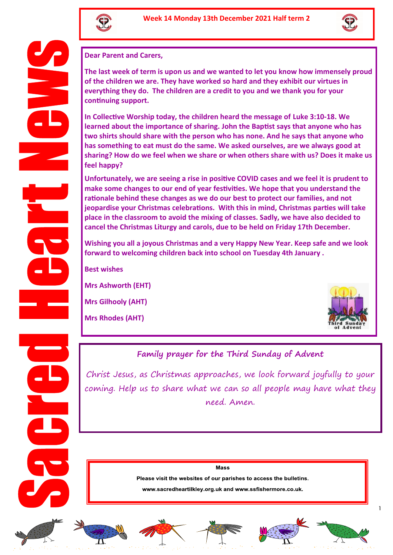



**Dear Parent and Carers,** 

**The last week of term is upon us and we wanted to let you know how immensely proud of the children we are. They have worked so hard and they exhibit our virtues in everything they do. The children are a credit to you and we thank you for your continuing support.** 

**In Collective Worship today, the children heard the message of Luke 3:10-18. We learned about the importance of sharing. John the Baptist says that anyone who has two shirts should share with the person who has none. And he says that anyone who has something to eat must do the same. We asked ourselves, are we always good at sharing? How do we feel when we share or when others share with us? Does it make us feel happy?** 

**Unfortunately, we are seeing a rise in positive COVID cases and we feel it is prudent to make some changes to our end of year festivities. We hope that you understand the rationale behind these changes as we do our best to protect our families, and not jeopardise your Christmas celebrations. With this in mind, Christmas parties will take place in the classroom to avoid the mixing of classes. Sadly, we have also decided to cancel the Christmas Liturgy and carols, due to be held on Friday 17th December.** 

**Wishing you all a joyous Christmas and a very Happy New Year. Keep safe and we look forward to welcoming children back into school on Tuesday 4th January .** 

**Best wishes**

**Mrs Ashworth (EHT)**

**Mrs Gilhooly (AHT)**

**Mrs Rhodes (AHT)**



# **Family prayer for the Third Sunday of Advent**

Christ Jesus, as Christmas approaches, we look forward joyfully to your coming. Help us to share what we can so all people may have what they need. Amen.

Mass

Please visit the websites of our parishes to access the bulletins.

www.sacredheartilkley.org.uk and www.ssfishermore.co.uk.











1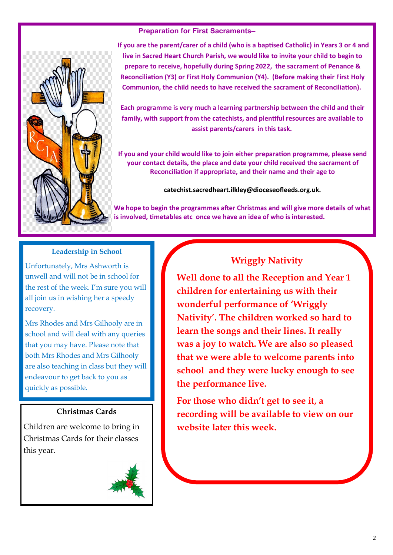

### **Preparation for First Sacraments–**

**If you are the parent/carer of a child (who is a baptised Catholic) in Years 3 or 4 and live in Sacred Heart Church Parish, we would like to invite your child to begin to prepare to receive, hopefully during Spring 2022, the sacrament of Penance & Reconciliation (Y3) or First Holy Communion (Y4). (Before making their First Holy Communion, the child needs to have received the sacrament of Reconciliation).**

**Each programme is very much a learning partnership between the child and their family, with support from the catechists, and plentiful resources are available to assist parents/carers in this task.**

**If you and your child would like to join either preparation programme, please send your contact details, the place and date your child received the sacrament of Reconciliation if appropriate, and their name and their age to** 

**catechist.sacredheart.ilkley@dioceseofleeds.org.uk.** 

**We hope to begin the programmes after Christmas and will give more details of what is involved, timetables etc once we have an idea of who is interested.**

#### **Leadership in School**

Unfortunately, Mrs Ashworth is unwell and will not be in school for the rest of the week. I'm sure you will all join us in wishing her a speedy recovery.

Mrs Rhodes and Mrs Gilhooly are in school and will deal with any queries that you may have. Please note that both Mrs Rhodes and Mrs Gilhooly are also teaching in class but they will endeavour to get back to you as quickly as possible.

#### **Christmas Cards**

Children are welcome to bring in Christmas Cards for their classes this year.



# **Wriggly Nativity**

**Well done to all the Reception and Year 1 children for entertaining us with their wonderful performance of 'Wriggly Nativity'. The children worked so hard to learn the songs and their lines. It really was a joy to watch. We are also so pleased that we were able to welcome parents into school and they were lucky enough to see the performance live.** 

**For those who didn't get to see it, a recording will be available to view on our website later this week.**